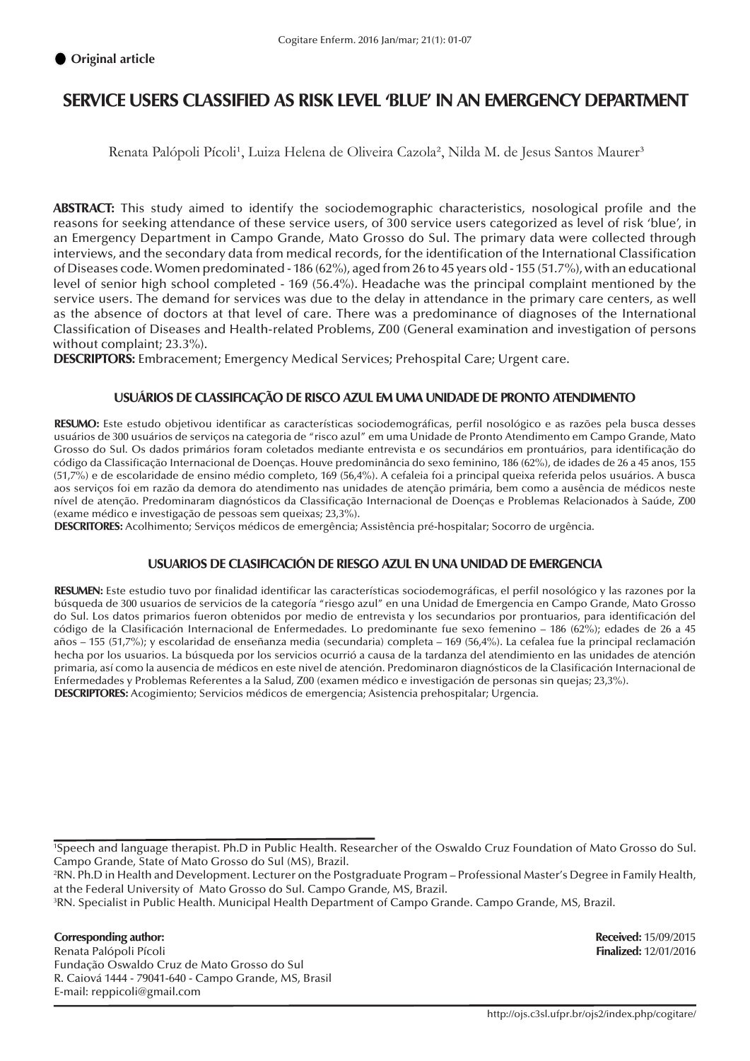# **SERVICE USERS CLASSIFIED AS RISK LEVEL 'BLUE' IN AN EMERGENCY DEPARTMENT**

Renata Palópoli Pícoli<sup>1</sup>, Luiza Helena de Oliveira Cazola<sup>2</sup>, Nilda M. de Jesus Santos Maurer<sup>3</sup>

**ABSTRACT:** This study aimed to identify the sociodemographic characteristics, nosological profile and the reasons for seeking attendance of these service users, of 300 service users categorized as level of risk 'blue', in an Emergency Department in Campo Grande, Mato Grosso do Sul. The primary data were collected through interviews, and the secondary data from medical records, for the identification of the International Classification of Diseases code. Women predominated - 186 (62%), aged from 26 to 45 years old - 155 (51.7%), with an educational level of senior high school completed - 169 (56.4%). Headache was the principal complaint mentioned by the service users. The demand for services was due to the delay in attendance in the primary care centers, as well as the absence of doctors at that level of care. There was a predominance of diagnoses of the International Classification of Diseases and Health-related Problems, Z00 (General examination and investigation of persons without complaint; 23.3%).

**DESCRIPTORS:** Embracement; Emergency Medical Services; Prehospital Care; Urgent care.

#### **USUÁRIOS DE CLASSIFICAÇÃO DE RISCO AZUL EM UMA UNIDADE DE PRONTO ATENDIMENTO**

**RESUMO:** Este estudo objetivou identificar as características sociodemográficas, perfil nosológico e as razões pela busca desses usuários de 300 usuários de serviços na categoria de "risco azul" em uma Unidade de Pronto Atendimento em Campo Grande, Mato Grosso do Sul. Os dados primários foram coletados mediante entrevista e os secundários em prontuários, para identificação do código da Classificação Internacional de Doenças. Houve predominância do sexo feminino, 186 (62%), de idades de 26 a 45 anos, 155 (51,7%) e de escolaridade de ensino médio completo, 169 (56,4%). A cefaleia foi a principal queixa referida pelos usuários. A busca aos serviços foi em razão da demora do atendimento nas unidades de atenção primária, bem como a ausência de médicos neste nível de atenção. Predominaram diagnósticos da Classificação Internacional de Doenças e Problemas Relacionados à Saúde, Z00 (exame médico e investigação de pessoas sem queixas; 23,3%).

**DESCRITORES:** Acolhimento; Serviços médicos de emergência; Assistência pré-hospitalar; Socorro de urgência.

#### **USUARIOS DE CLASIFICACIÓN DE RIESGO AZUL EN UNA UNIDAD DE EMERGENCIA**

**RESUMEN:** Este estudio tuvo por finalidad identificar las características sociodemográficas, el perfil nosológico y las razones por la búsqueda de 300 usuarios de servicios de la categoría "riesgo azul" en una Unidad de Emergencia en Campo Grande, Mato Grosso do Sul. Los datos primarios fueron obtenidos por medio de entrevista y los secundarios por prontuarios, para identificación del código de la Clasificación Internacional de Enfermedades. Lo predominante fue sexo femenino – 186 (62%); edades de 26 a 45 años – 155 (51,7%); y escolaridad de enseñanza media (secundaria) completa – 169 (56,4%). La cefalea fue la principal reclamación hecha por los usuarios. La búsqueda por los servicios ocurrió a causa de la tardanza del atendimiento en las unidades de atención primaria, así como la ausencia de médicos en este nivel de atención. Predominaron diagnósticos de la Clasificación Internacional de Enfermedades y Problemas Referentes a la Salud, Z00 (examen médico e investigación de personas sin quejas; 23,3%). **DESCRIPTORES:** Acogimiento; Servicios médicos de emergencia; Asistencia prehospitalar; Urgencia.

#### **Corresponding author: Received:** 15/09/2015

Renata Palópoli Pícoli **Finalized:** 12/01/2016 Fundação Oswaldo Cruz de Mato Grosso do Sul R. Caiová 1444 - 79041-640 - Campo Grande, MS, Brasil E-mail: reppicoli@gmail.com

<sup>1</sup> Speech and language therapist. Ph.D in Public Health. Researcher of the Oswaldo Cruz Foundation of Mato Grosso do Sul. Campo Grande, State of Mato Grosso do Sul (MS), Brazil.

<sup>2</sup> RN. Ph.D in Health and Development. Lecturer on the Postgraduate Program – Professional Master's Degree in Family Health, at the Federal University of Mato Grosso do Sul. Campo Grande, MS, Brazil.

<sup>3</sup> RN. Specialist in Public Health. Municipal Health Department of Campo Grande. Campo Grande, MS, Brazil.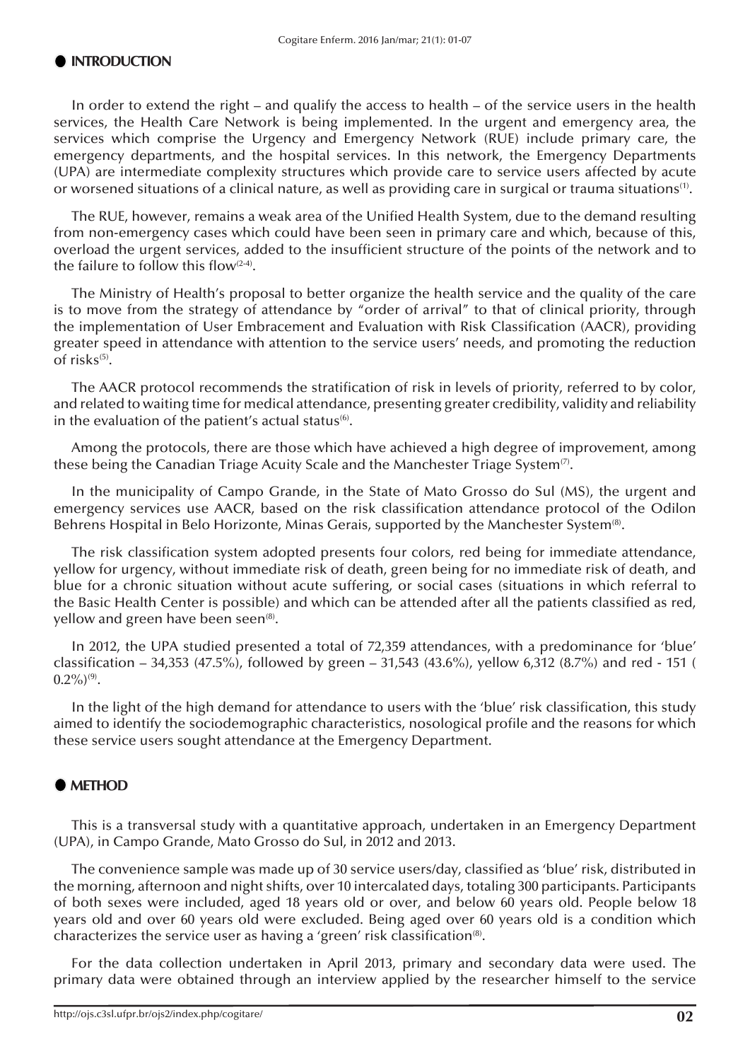### **INTRODUCTION**

In order to extend the right – and qualify the access to health – of the service users in the health services, the Health Care Network is being implemented. In the urgent and emergency area, the services which comprise the Urgency and Emergency Network (RUE) include primary care, the emergency departments, and the hospital services. In this network, the Emergency Departments (UPA) are intermediate complexity structures which provide care to service users affected by acute or worsened situations of a clinical nature, as well as providing care in surgical or trauma situations<sup>(1)</sup>.

The RUE, however, remains a weak area of the Unified Health System, due to the demand resulting from non-emergency cases which could have been seen in primary care and which, because of this, overload the urgent services, added to the insufficient structure of the points of the network and to the failure to follow this flow $(2-4)$ .

The Ministry of Health's proposal to better organize the health service and the quality of the care is to move from the strategy of attendance by "order of arrival" to that of clinical priority, through the implementation of User Embracement and Evaluation with Risk Classification (AACR), providing greater speed in attendance with attention to the service users' needs, and promoting the reduction of risks $(5)$ .

The AACR protocol recommends the stratification of risk in levels of priority, referred to by color, and related to waiting time for medical attendance, presenting greater credibility, validity and reliability in the evaluation of the patient's actual status $(6)$ .

Among the protocols, there are those which have achieved a high degree of improvement, among these being the Canadian Triage Acuity Scale and the Manchester Triage System<sup>(7)</sup>.

In the municipality of Campo Grande, in the State of Mato Grosso do Sul (MS), the urgent and emergency services use AACR, based on the risk classification attendance protocol of the Odilon Behrens Hospital in Belo Horizonte, Minas Gerais, supported by the Manchester System<sup>(8)</sup>.

The risk classification system adopted presents four colors, red being for immediate attendance, yellow for urgency, without immediate risk of death, green being for no immediate risk of death, and blue for a chronic situation without acute suffering, or social cases (situations in which referral to the Basic Health Center is possible) and which can be attended after all the patients classified as red, yellow and green have been seen<sup>(8)</sup>.

In 2012, the UPA studied presented a total of 72,359 attendances, with a predominance for 'blue' classification – 34,353 (47.5%), followed by green – 31,543 (43.6%), yellow 6,312 (8.7%) and red - 151 (  $0.2\%/9$ .

In the light of the high demand for attendance to users with the 'blue' risk classification, this study aimed to identify the sociodemographic characteristics, nosological profile and the reasons for which these service users sought attendance at the Emergency Department.

# $\bullet$  **METHOD**

This is a transversal study with a quantitative approach, undertaken in an Emergency Department (UPA), in Campo Grande, Mato Grosso do Sul, in 2012 and 2013.

The convenience sample was made up of 30 service users/day, classified as 'blue' risk, distributed in the morning, afternoon and night shifts, over 10 intercalated days, totaling 300 participants. Participants of both sexes were included, aged 18 years old or over, and below 60 years old. People below 18 years old and over 60 years old were excluded. Being aged over 60 years old is a condition which characterizes the service user as having a 'green' risk classification<sup>(8)</sup>.

For the data collection undertaken in April 2013, primary and secondary data were used. The primary data were obtained through an interview applied by the researcher himself to the service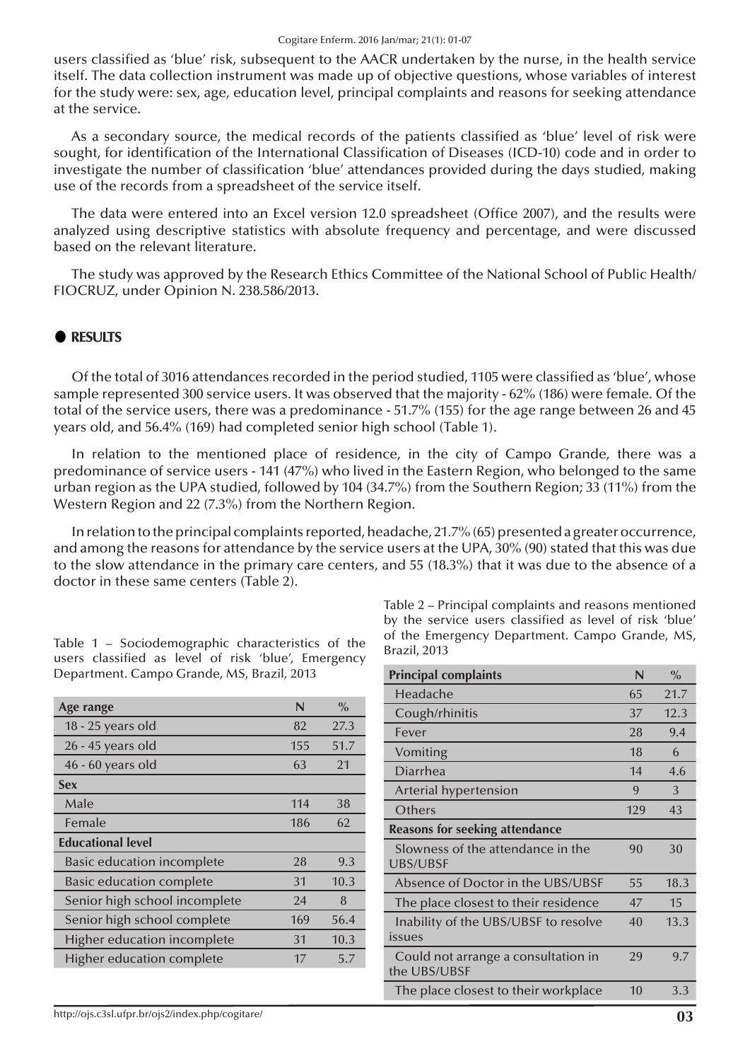users classified as 'blue' risk, subsequent to the AACR undertaken by the nurse, in the health service itself. The data collection instrument was made up of objective questions, whose variables of interest for the study were: sex, age, education level, principal complaints and reasons for seeking attendance at the service.

As a secondary source, the medical records of the patients classified as 'blue' level of risk were sought, for identification of the International Classification of Diseases (ICD-10) code and in order to investigate the number of classification 'blue' attendances provided during the days studied, making use of the records from a spreadsheet of the service itself.

The data were entered into an Excel version 12.0 spreadsheet (Office 2007), and the results were analyzed using descriptive statistics with absolute frequency and percentage, and were discussed based on the relevant literature.

The study was approved by the Research Ethics Committee of the National School of Public Health/ FIOCRUZ, under Opinion N. 238.586/2013.

### $Q$  RESULTS

Of the total of 3016 attendances recorded in the period studied, 1105 were classified as 'blue', whose sample represented 300 service users. It was observed that the majority - 62% (186) were female. Of the total of the service users, there was a predominance - 51.7% (155) for the age range between 26 and 45 years old, and 56.4% (169) had completed senior high school (Table 1).

In relation to the mentioned place of residence, in the city of Campo Grande, there was a predominance of service users - 141 (47%) who lived in the Eastern Region, who belonged to the same urban region as the UPA studied, followed by 104 (34.7%) from the Southern Region; 33 (11%) from the Western Region and 22 (7.3%) from the Northern Region.

In relation to the principal complaints reported, headache, 21.7% (65) presented a greater occurrence, and among the reasons for attendance by the service users at the UPA, 30% (90) stated that this was due to the slow attendance in the primary care centers, and 55 (18.3%) that it was due to the absence of a doctor in these same centers (Table 2).

| Age range                         | N   | $\%$ |
|-----------------------------------|-----|------|
| 18 - 25 years old                 | 82  | 27.3 |
| 26 - 45 years old                 | 155 | 51.7 |
| 46 - 60 years old                 | 63  | 21   |
| <b>Sex</b>                        |     |      |
| Male                              | 114 | 38   |
| Female                            | 186 | 62   |
| <b>Educational level</b>          |     |      |
| <b>Basic education incomplete</b> | 28  | 9.3  |
| <b>Basic education complete</b>   | 31  | 10.3 |
| Senior high school incomplete     | 24  | 8    |
| Senior high school complete       | 169 | 56.4 |
| Higher education incomplete       | 31  | 10.3 |
| Higher education complete         | 17  | 5.7  |

Table 2 – Principal complaints and reasons mentioned by the service users classified as level of risk 'blue' of the Emergency Department. Campo Grande, MS, Brazil, 2013

| <b>Principal complaints</b>                          | N   | $\frac{0}{0}$ |
|------------------------------------------------------|-----|---------------|
| Headache                                             | 65  | 21.7          |
| Cough/rhinitis                                       | 37  | 12.3          |
| Fever                                                | 28  | 9.4           |
| Vomiting                                             | 18  | 6             |
| Diarrhea                                             | 14  | 4.6           |
| Arterial hypertension                                | 9   | 3             |
| Others                                               | 129 | 43            |
| <b>Reasons for seeking attendance</b>                |     |               |
| Slowness of the attendance in the<br><b>UBS/UBSF</b> | 90  | 30            |
| Absence of Doctor in the UBS/UBSF                    | 55  | 18.3          |
| The place closest to their residence                 | 47  | 15            |
| Inability of the UBS/UBSF to resolve<br>issues       | 40  | 13.3          |
| Could not arrange a consultation in<br>the UBS/UBSF  | 29  | 9.7           |
| The place closest to their workplace                 | 10  | 3.3           |

Table 1 – Sociodemographic characteristics of the users classified as level of risk 'blue', Emergency Department. Campo Grande, MS, Brazil, 2013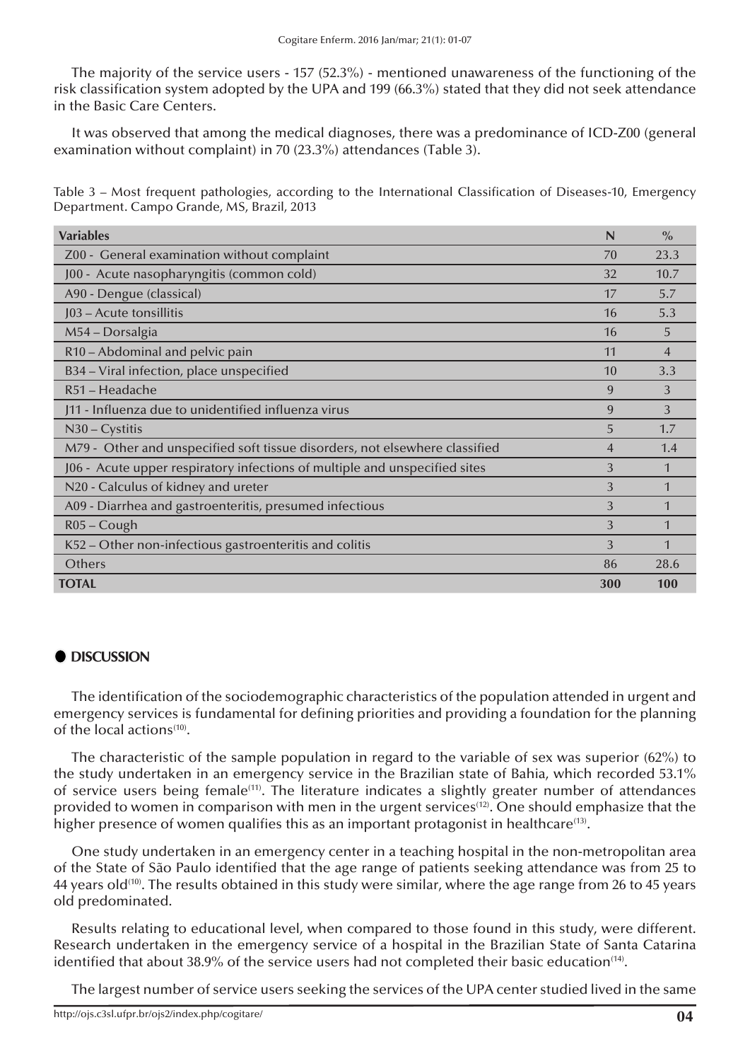The majority of the service users - 157 (52.3%) - mentioned unawareness of the functioning of the risk classification system adopted by the UPA and 199 (66.3%) stated that they did not seek attendance in the Basic Care Centers.

It was observed that among the medical diagnoses, there was a predominance of ICD-Z00 (general examination without complaint) in 70 (23.3%) attendances (Table 3).

Table 3 – Most frequent pathologies, according to the International Classification of Diseases-10, Emergency Department. Campo Grande, MS, Brazil, 2013

| <b>Variables</b>                                                            | N              | $\frac{0}{0}$  |
|-----------------------------------------------------------------------------|----------------|----------------|
| Z00 - General examination without complaint                                 | 70             | 23.3           |
| J00 - Acute nasopharyngitis (common cold)                                   | 32             | 10.7           |
| A90 - Dengue (classical)                                                    | 17             | 5.7            |
| J03 - Acute tonsillitis                                                     | 16             | 5.3            |
| M54 – Dorsalgia                                                             | 16             | 5              |
| R10 - Abdominal and pelvic pain                                             | 11             | $\overline{4}$ |
| B34 - Viral infection, place unspecified                                    | 10             | 3.3            |
| R51 - Headache                                                              | 9              | 3              |
| J11 - Influenza due to unidentified influenza virus                         | 9              | 3              |
| $N30 - Cystitis$                                                            | 5              | 1.7            |
| M79 - Other and unspecified soft tissue disorders, not elsewhere classified | $\overline{4}$ | 1.4            |
| J06 - Acute upper respiratory infections of multiple and unspecified sites  | 3              | 1              |
| N20 - Calculus of kidney and ureter                                         | 3              | 1              |
| A09 - Diarrhea and gastroenteritis, presumed infectious                     | 3              |                |
| $R05 - Cough$                                                               | 3              |                |
| K52 - Other non-infectious gastroenteritis and colitis                      | 3              |                |
| Others                                                                      | 86             | 28.6           |
| <b>TOTAL</b>                                                                | 300            | <b>100</b>     |

# $\bullet$  **DISCUSSION**

The identification of the sociodemographic characteristics of the population attended in urgent and emergency services is fundamental for defining priorities and providing a foundation for the planning of the local actions<sup>(10)</sup>.

The characteristic of the sample population in regard to the variable of sex was superior (62%) to the study undertaken in an emergency service in the Brazilian state of Bahia, which recorded 53.1% of service users being female<sup>(11)</sup>. The literature indicates a slightly greater number of attendances provided to women in comparison with men in the urgent services<sup> $(12)$ </sup>. One should emphasize that the higher presence of women qualifies this as an important protagonist in healthcare<sup>(13)</sup>.

One study undertaken in an emergency center in a teaching hospital in the non-metropolitan area of the State of São Paulo identified that the age range of patients seeking attendance was from 25 to 44 years old<sup>(10)</sup>. The results obtained in this study were similar, where the age range from 26 to 45 years old predominated.

Results relating to educational level, when compared to those found in this study, were different. Research undertaken in the emergency service of a hospital in the Brazilian State of Santa Catarina identified that about 38.9% of the service users had not completed their basic education<sup>(14)</sup>.

The largest number of service users seeking the services of the UPA center studied lived in the same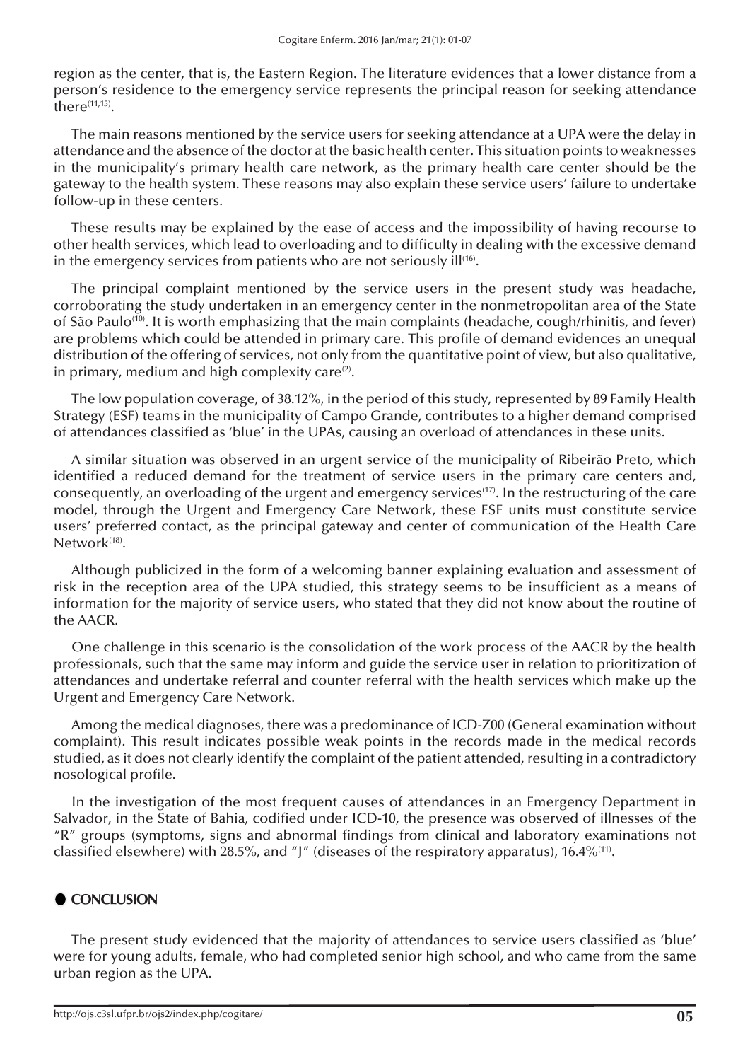region as the center, that is, the Eastern Region. The literature evidences that a lower distance from a person's residence to the emergency service represents the principal reason for seeking attendance  $there^{(11,15)}$ .

The main reasons mentioned by the service users for seeking attendance at a UPA were the delay in attendance and the absence of the doctor at the basic health center. This situation points to weaknesses in the municipality's primary health care network, as the primary health care center should be the gateway to the health system. These reasons may also explain these service users' failure to undertake follow-up in these centers.

These results may be explained by the ease of access and the impossibility of having recourse to other health services, which lead to overloading and to difficulty in dealing with the excessive demand in the emergency services from patients who are not seriously  $\text{iff}$ .

The principal complaint mentioned by the service users in the present study was headache, corroborating the study undertaken in an emergency center in the nonmetropolitan area of the State of São Paulo<sup>(10)</sup>. It is worth emphasizing that the main complaints (headache, cough/rhinitis, and fever) are problems which could be attended in primary care. This profile of demand evidences an unequal distribution of the offering of services, not only from the quantitative point of view, but also qualitative, in primary, medium and high complexity care $(2)$ .

The low population coverage, of 38.12%, in the period of this study, represented by 89 Family Health Strategy (ESF) teams in the municipality of Campo Grande, contributes to a higher demand comprised of attendances classified as 'blue' in the UPAs, causing an overload of attendances in these units.

A similar situation was observed in an urgent service of the municipality of Ribeirão Preto, which identified a reduced demand for the treatment of service users in the primary care centers and, consequently, an overloading of the urgent and emergency services<sup>(17)</sup>. In the restructuring of the care model, through the Urgent and Emergency Care Network, these ESF units must constitute service users' preferred contact, as the principal gateway and center of communication of the Health Care Network<sup>(18)</sup>.

Although publicized in the form of a welcoming banner explaining evaluation and assessment of risk in the reception area of the UPA studied, this strategy seems to be insufficient as a means of information for the majority of service users, who stated that they did not know about the routine of the AACR.

One challenge in this scenario is the consolidation of the work process of the AACR by the health professionals, such that the same may inform and guide the service user in relation to prioritization of attendances and undertake referral and counter referral with the health services which make up the Urgent and Emergency Care Network.

Among the medical diagnoses, there was a predominance of ICD-Z00 (General examination without complaint). This result indicates possible weak points in the records made in the medical records studied, as it does not clearly identify the complaint of the patient attended, resulting in a contradictory nosological profile.

In the investigation of the most frequent causes of attendances in an Emergency Department in Salvador, in the State of Bahia, codified under ICD-10, the presence was observed of illnesses of the "R" groups (symptoms, signs and abnormal findings from clinical and laboratory examinations not classified elsewhere) with 28.5%, and "J" (diseases of the respiratory apparatus), 16.4%<sup>(11)</sup>.

# **CONCLUSION**

The present study evidenced that the majority of attendances to service users classified as 'blue' were for young adults, female, who had completed senior high school, and who came from the same urban region as the UPA.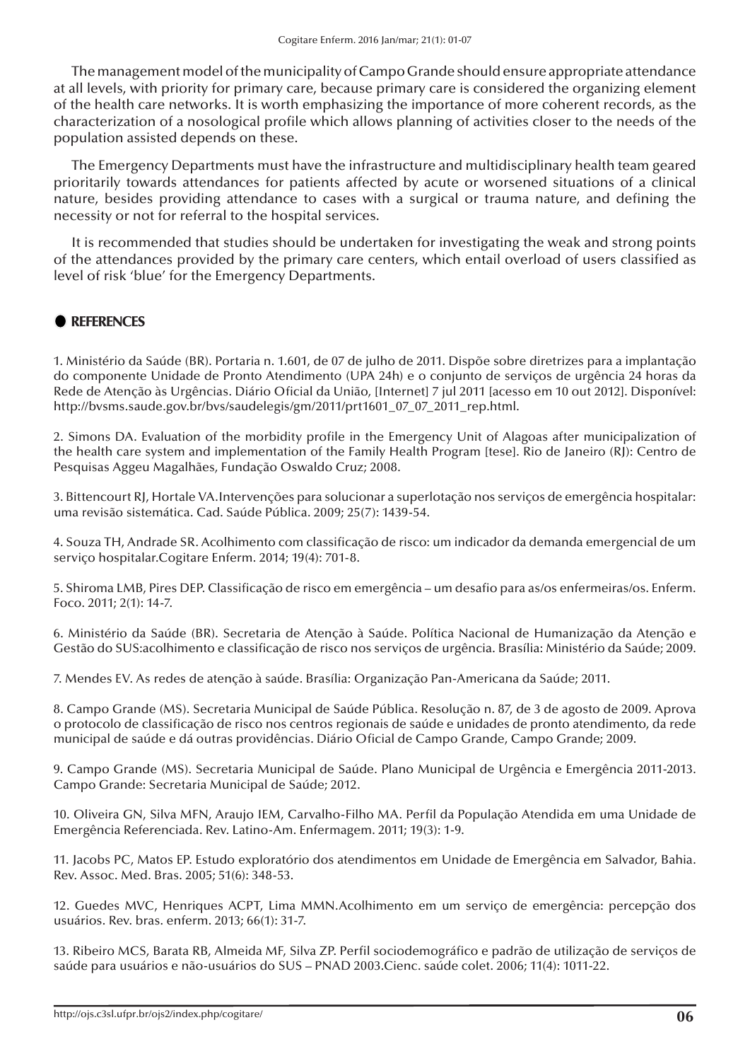The management model of the municipality of Campo Grande should ensure appropriate attendance at all levels, with priority for primary care, because primary care is considered the organizing element of the health care networks. It is worth emphasizing the importance of more coherent records, as the characterization of a nosological profile which allows planning of activities closer to the needs of the population assisted depends on these.

The Emergency Departments must have the infrastructure and multidisciplinary health team geared prioritarily towards attendances for patients affected by acute or worsened situations of a clinical nature, besides providing attendance to cases with a surgical or trauma nature, and defining the necessity or not for referral to the hospital services.

It is recommended that studies should be undertaken for investigating the weak and strong points of the attendances provided by the primary care centers, which entail overload of users classified as level of risk 'blue' for the Emergency Departments.

### **REFERENCES**

1. Ministério da Saúde (BR). Portaria n. 1.601, de 07 de julho de 2011. Dispõe sobre diretrizes para a implantação do componente Unidade de Pronto Atendimento (UPA 24h) e o conjunto de serviços de urgência 24 horas da Rede de Atenção às Urgências. Diário Oficial da União, [Internet] 7 jul 2011 [acesso em 10 out 2012]. Disponível: http://bvsms.saude.gov.br/bvs/saudelegis/gm/2011/prt1601\_07\_07\_2011\_rep.html.

2. Simons DA. Evaluation of the morbidity profile in the Emergency Unit of Alagoas after municipalization of the health care system and implementation of the Family Health Program [tese]. Rio de Janeiro (RJ): Centro de Pesquisas Aggeu Magalhães, Fundação Oswaldo Cruz; 2008.

3. Bittencourt RJ, Hortale VA.Intervenções para solucionar a superlotação nos serviços de emergência hospitalar: uma revisão sistemática. Cad. Saúde Pública. 2009; 25(7): 1439-54.

4. Souza TH, Andrade SR. Acolhimento com classificação de risco: um indicador da demanda emergencial de um serviço hospitalar.Cogitare Enferm. 2014; 19(4): 701-8.

5. Shiroma LMB, Pires DEP. Classificação de risco em emergência – um desafio para as/os enfermeiras/os. Enferm. Foco. 2011; 2(1): 14-7.

6. Ministério da Saúde (BR). Secretaria de Atenção à Saúde. Política Nacional de Humanização da Atenção e Gestão do SUS:acolhimento e classificação de risco nos serviços de urgência. Brasília: Ministério da Saúde; 2009.

7. Mendes EV. As redes de atenção à saúde. Brasília: Organização Pan-Americana da Saúde; 2011.

8. Campo Grande (MS). Secretaria Municipal de Saúde Pública. Resolução n. 87, de 3 de agosto de 2009. Aprova o protocolo de classificação de risco nos centros regionais de saúde e unidades de pronto atendimento, da rede municipal de saúde e dá outras providências. Diário Oficial de Campo Grande, Campo Grande; 2009.

9. Campo Grande (MS). Secretaria Municipal de Saúde. Plano Municipal de Urgência e Emergência 2011-2013. Campo Grande: Secretaria Municipal de Saúde; 2012.

10. Oliveira GN, Silva MFN, Araujo IEM, Carvalho-Filho MA. Perfil da População Atendida em uma Unidade de Emergência Referenciada. Rev. Latino-Am. Enfermagem. 2011; 19(3): 1-9.

11. Jacobs PC, Matos EP. Estudo exploratório dos atendimentos em Unidade de Emergência em Salvador, Bahia. Rev. Assoc. Med. Bras. 2005; 51(6): 348-53.

12. Guedes MVC, Henriques ACPT, Lima MMN.Acolhimento em um serviço de emergência: percepção dos usuários. Rev. bras. enferm. 2013; 66(1): 31-7.

13. Ribeiro MCS, Barata RB, Almeida MF, Silva ZP. Perfil sociodemográfico e padrão de utilização de serviços de saúde para usuários e não-usuários do SUS – PNAD 2003.Cienc. saúde colet. 2006; 11(4): 1011-22.